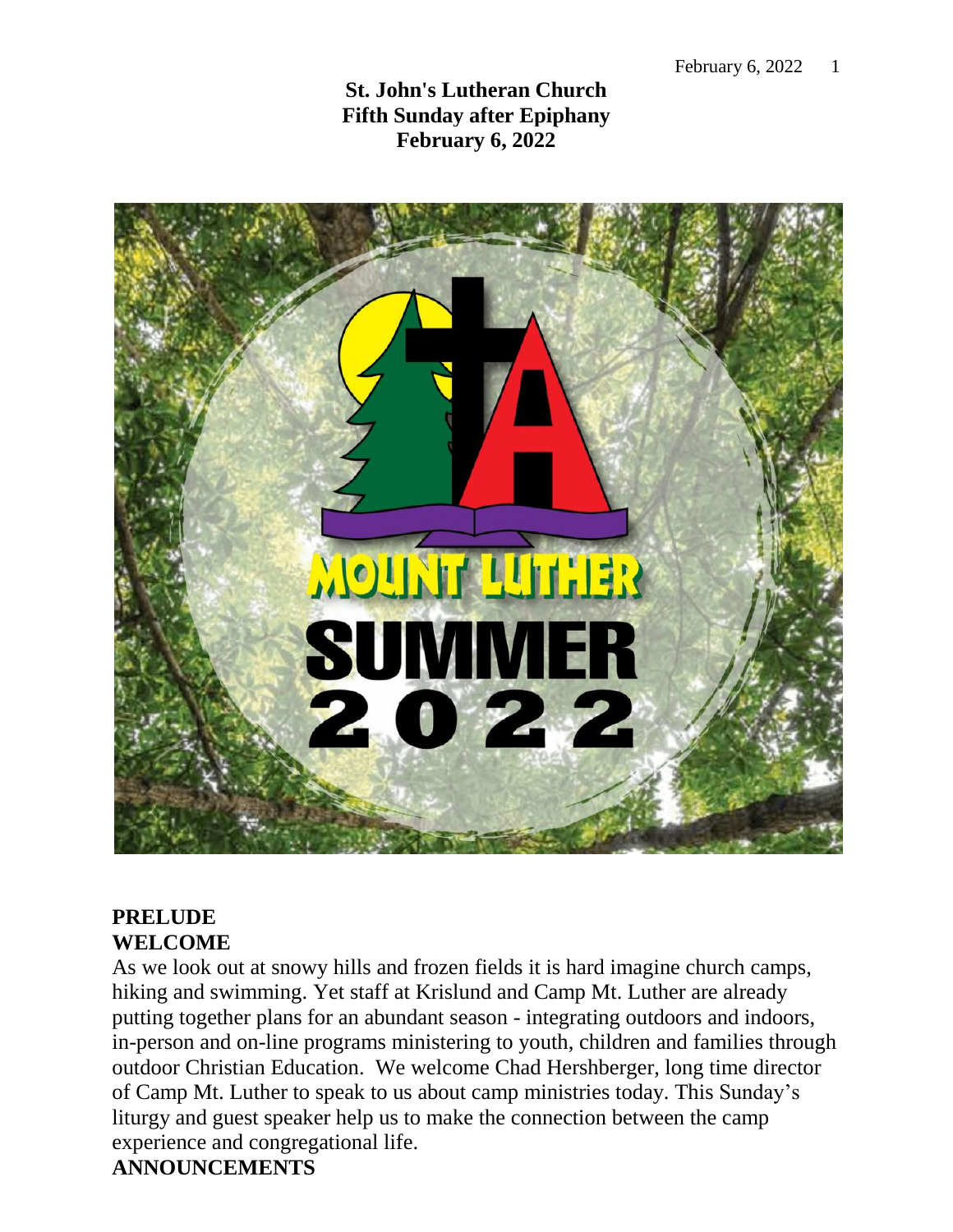### **St. John's Lutheran Church Fifth Sunday after Epiphany February 6, 2022**



## **PRELUDE WELCOME**

As we look out at snowy hills and frozen fields it is hard imagine church camps, hiking and swimming. Yet staff at Krislund and Camp Mt. Luther are already putting together plans for an abundant season - integrating outdoors and indoors, in-person and on-line programs ministering to youth, children and families through outdoor Christian Education. We welcome Chad Hershberger, long time director of Camp Mt. Luther to speak to us about camp ministries today. This Sunday's liturgy and guest speaker help us to make the connection between the camp experience and congregational life.

#### **ANNOUNCEMENTS**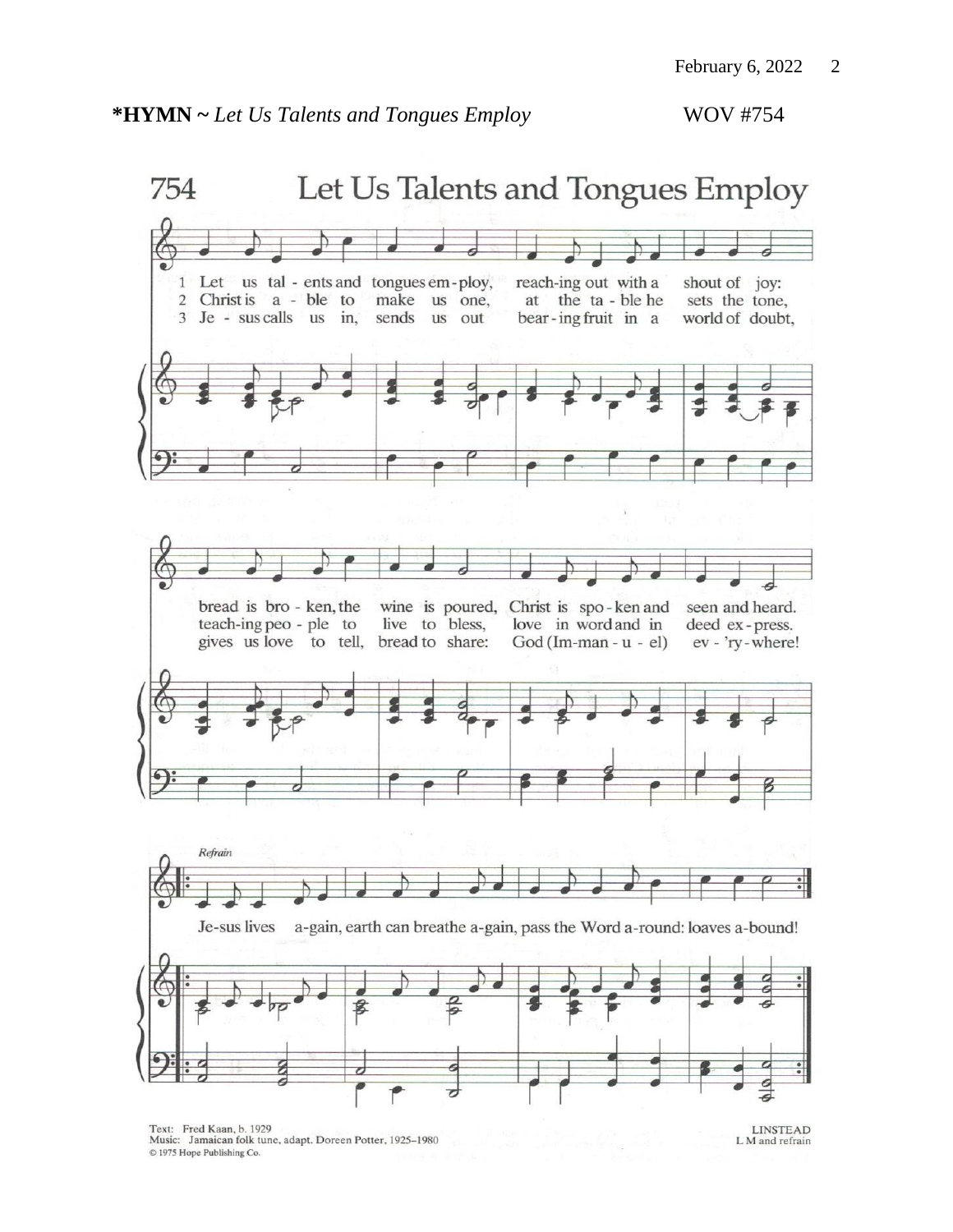

Text: Fred Kaan, b. 1929<br>Music: Jamaican folk tune, adapt. Doreen Potter, 1925–1980  $\ensuremath{\mathop{\otimes}}$  1975 Hope Publishing Co.

**LINSTEAD** L M and refrain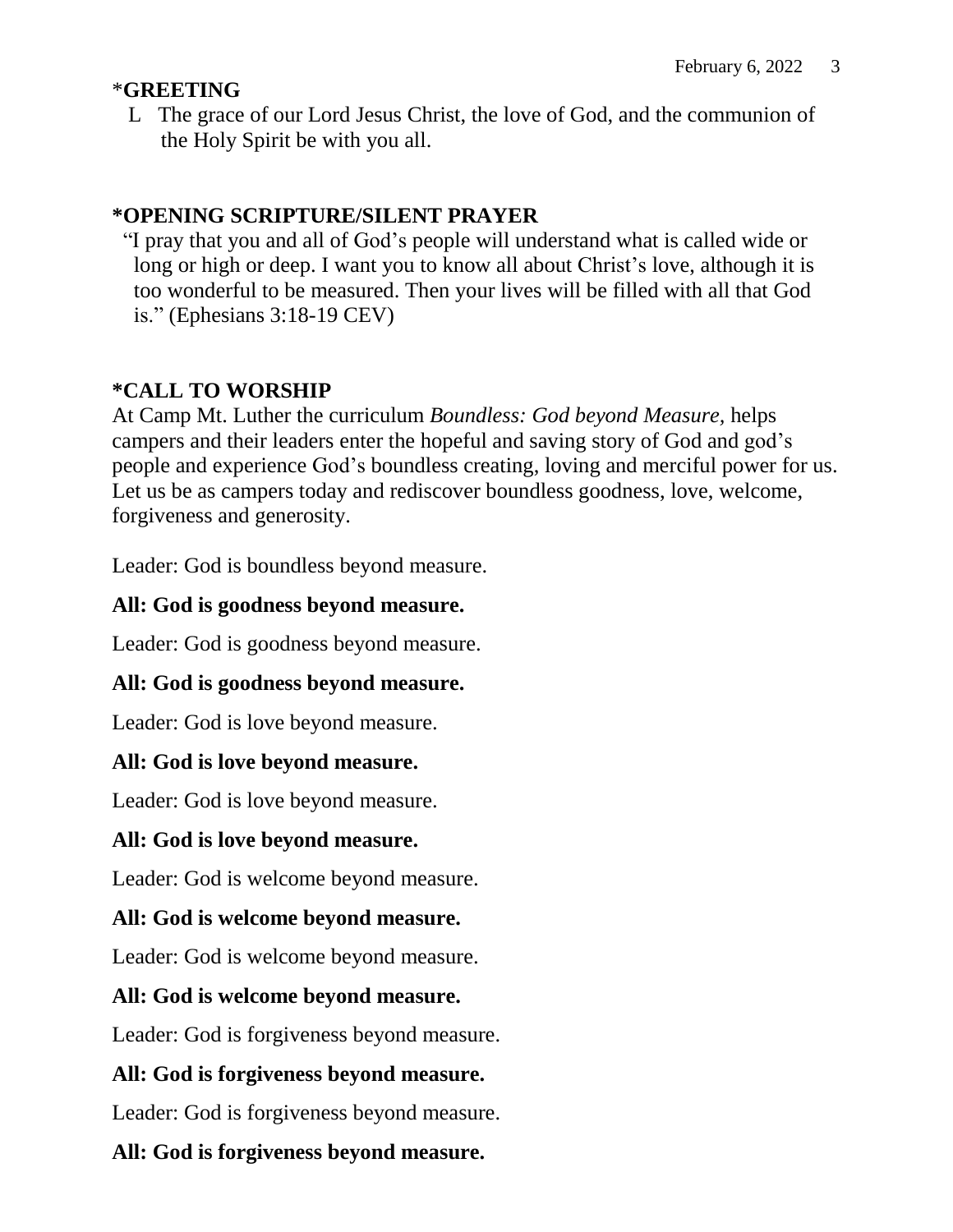### \***GREETING**

L The grace of our Lord Jesus Christ, the love of God, and the communion of the Holy Spirit be with you all.

### **\*OPENING SCRIPTURE/SILENT PRAYER**

 "I pray that you and all of God's people will understand what is called wide or long or high or deep. I want you to know all about Christ's love, although it is too wonderful to be measured. Then your lives will be filled with all that God is." (Ephesians 3:18-19 CEV)

## **\*CALL TO WORSHIP**

At Camp Mt. Luther the curriculum *Boundless: God beyond Measure,* helps campers and their leaders enter the hopeful and saving story of God and god's people and experience God's boundless creating, loving and merciful power for us. Let us be as campers today and rediscover boundless goodness, love, welcome, forgiveness and generosity.

Leader: God is boundless beyond measure.

## **All: God is goodness beyond measure.**

Leader: God is goodness beyond measure.

# **All: God is goodness beyond measure.**

Leader: God is love beyond measure.

## **All: God is love beyond measure.**

Leader: God is love beyond measure.

## **All: God is love beyond measure.**

Leader: God is welcome beyond measure.

# **All: God is welcome beyond measure.**

Leader: God is welcome beyond measure.

# **All: God is welcome beyond measure.**

Leader: God is forgiveness beyond measure.

# **All: God is forgiveness beyond measure.**

Leader: God is forgiveness beyond measure.

# **All: God is forgiveness beyond measure.**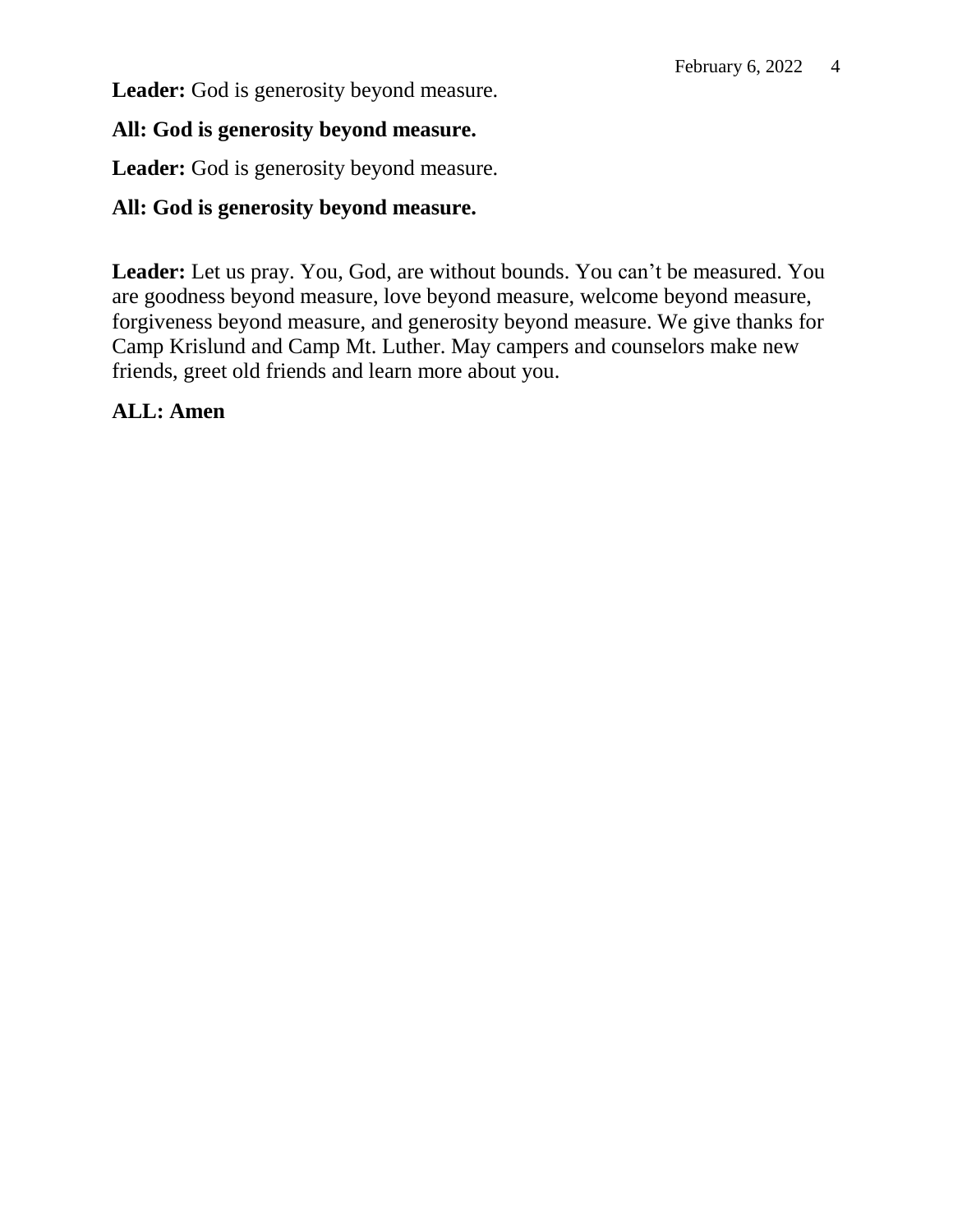Leader: God is generosity beyond measure.

#### **All: God is generosity beyond measure.**

Leader: God is generosity beyond measure.

#### **All: God is generosity beyond measure.**

**Leader:** Let us pray. You, God, are without bounds. You can't be measured. You are goodness beyond measure, love beyond measure, welcome beyond measure, forgiveness beyond measure, and generosity beyond measure. We give thanks for Camp Krislund and Camp Mt. Luther. May campers and counselors make new friends, greet old friends and learn more about you.

#### **ALL: Amen**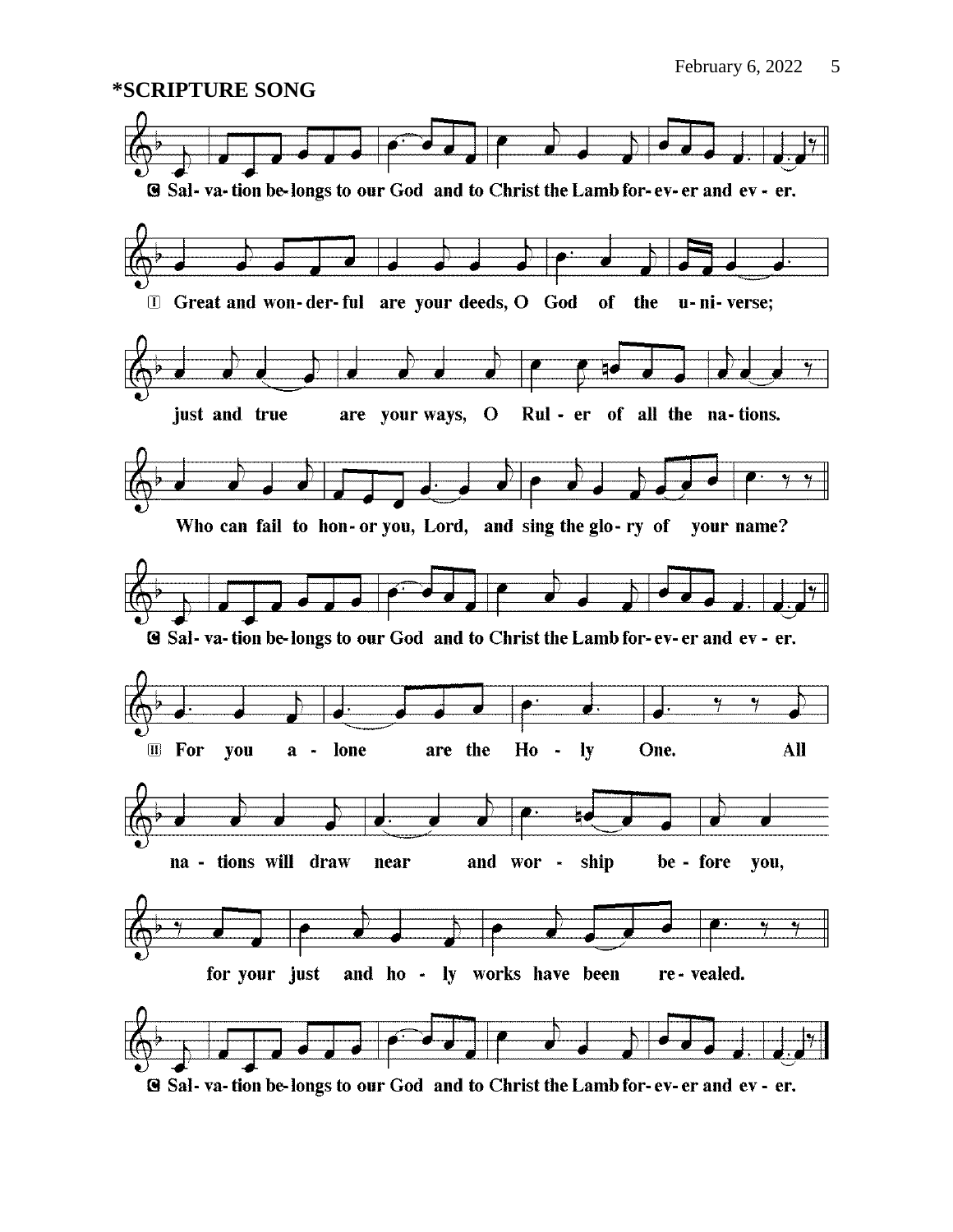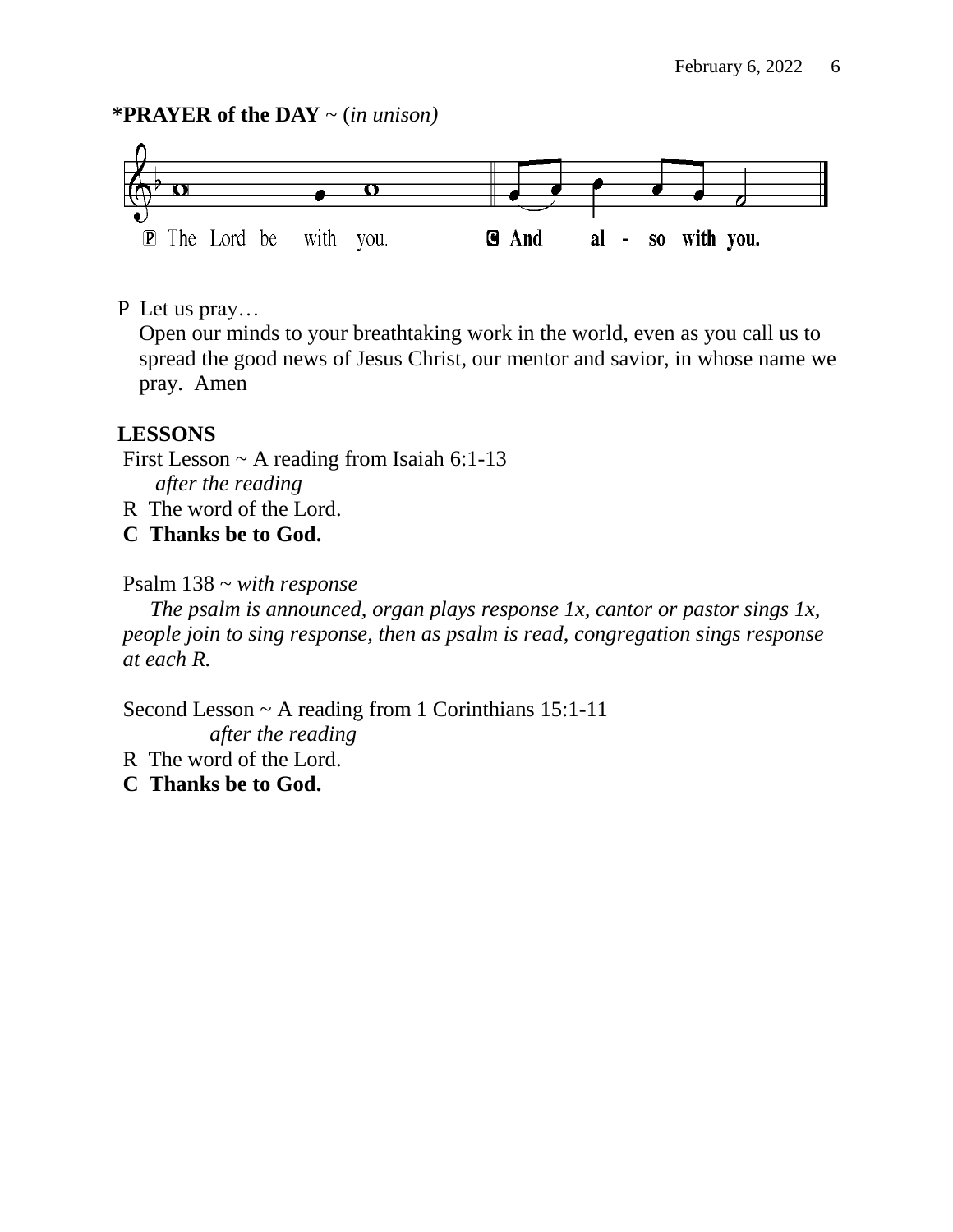#### **\*PRAYER of the DAY** ~ (*in unison)*



P Let us pray…

 Open our minds to your breathtaking work in the world, even as you call us to spread the good news of Jesus Christ, our mentor and savior, in whose name we pray. Amen

## **LESSONS**

 First Lesson ~ A reading from Isaiah 6:1-13  *after the reading* R The word of the Lord.

 **C Thanks be to God.**

Psalm 138 ~ *with response*

 *The psalm is announced, organ plays response 1x, cantor or pastor sings 1x, people join to sing response, then as psalm is read, congregation sings response at each R.*

 Second Lesson ~ A reading from 1 Corinthians 15:1-11  *after the reading* R The word of the Lord.

**C Thanks be to God.**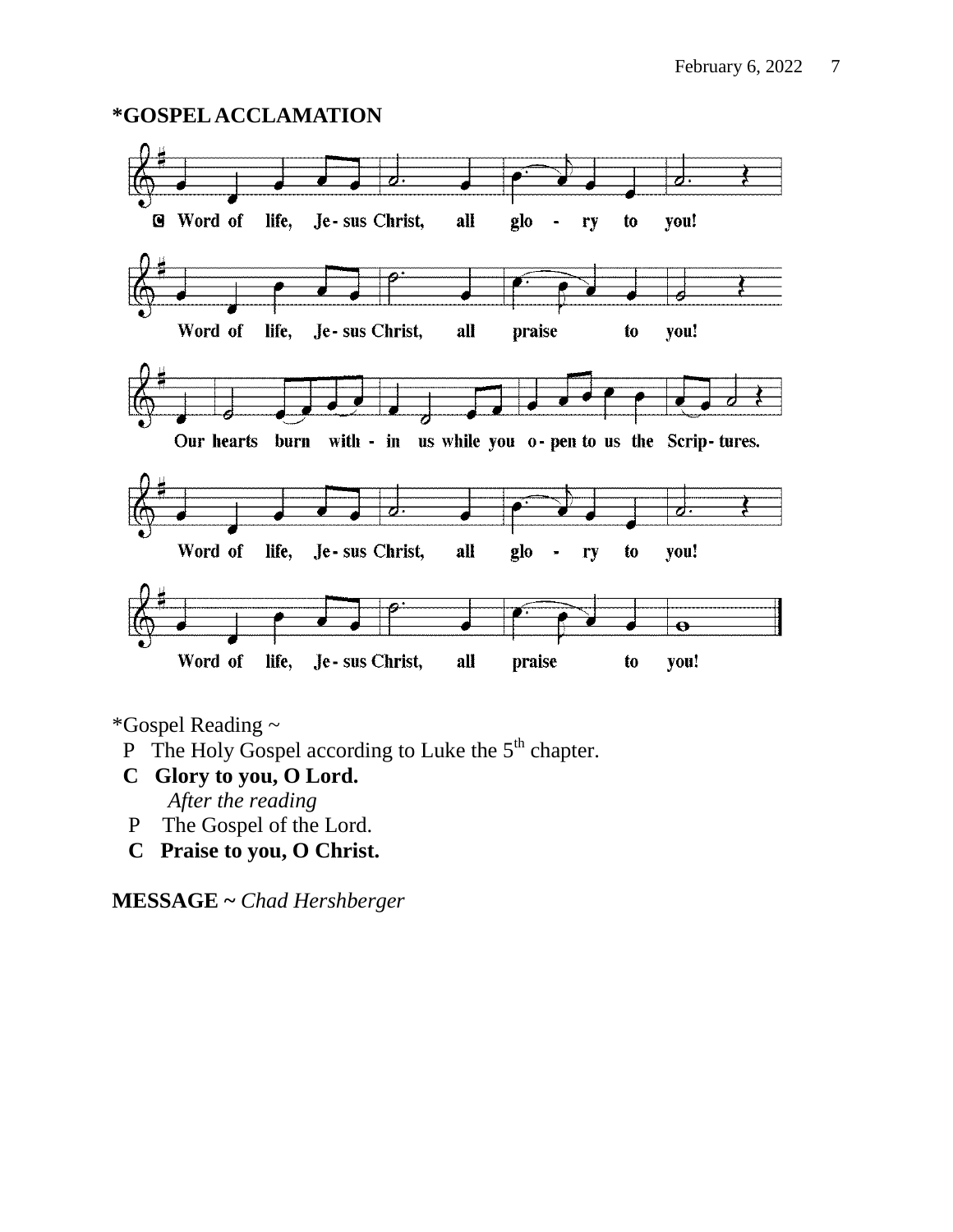#### **\*GOSPEL ACCLAMATION**



\*Gospel Reading ~

- P The Holy Gospel according to Luke the  $5<sup>th</sup>$  chapter.
- **C Glory to you, O Lord.** *After the reading*
- P The Gospel of the Lord.
- **C Praise to you, O Christ.**

**MESSAGE ~** *Chad Hershberger*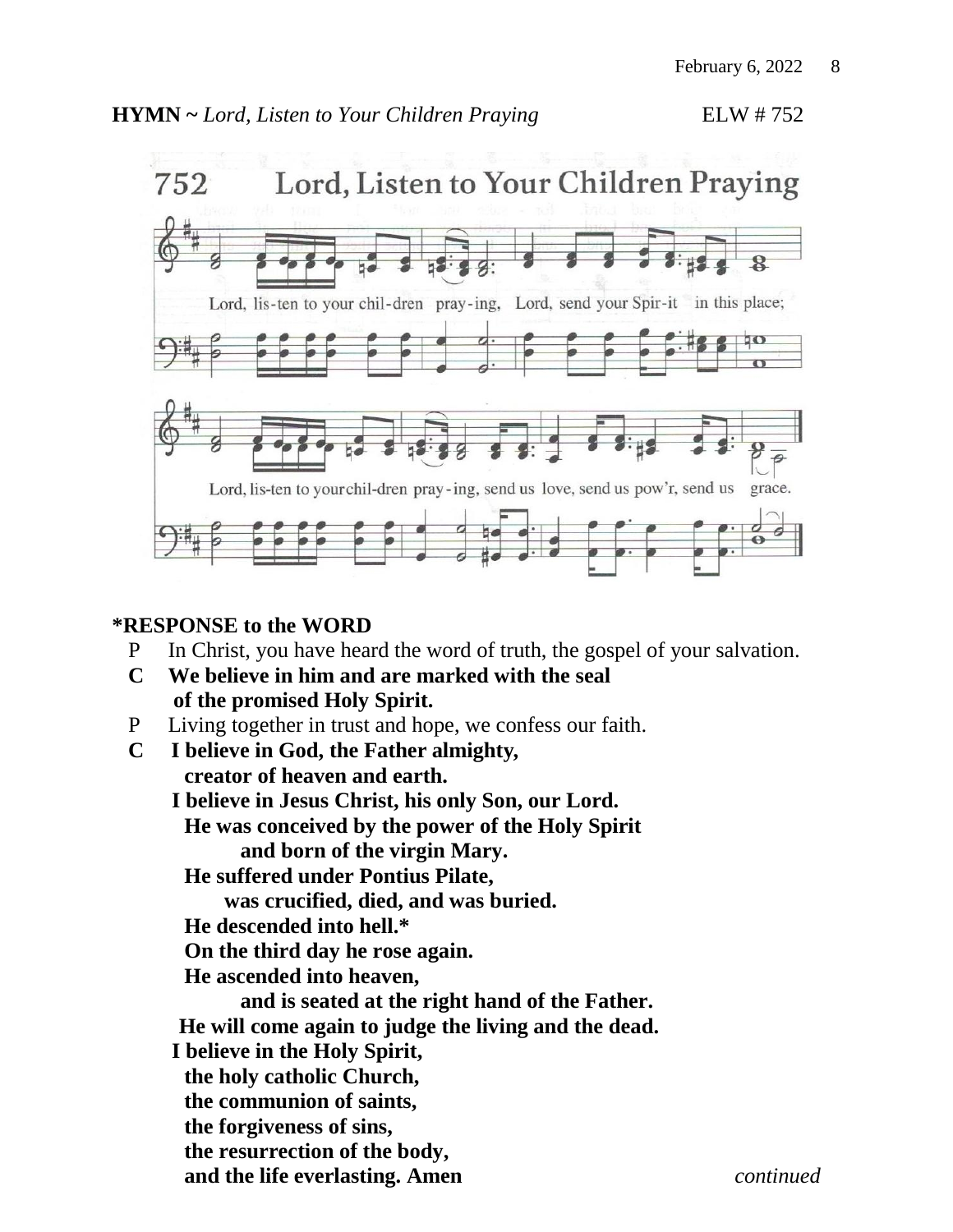

#### **\*RESPONSE to the WORD**

- P In Christ, you have heard the word of truth, the gospel of your salvation.
- **C We believe in him and are marked with the seal of the promised Holy Spirit.**
- P Living together in trust and hope, we confess our faith.
- **C I believe in God, the Father almighty, creator of heaven and earth.**
	- **I believe in Jesus Christ, his only Son, our Lord.**
		- **He was conceived by the power of the Holy Spirit**

 **and born of the virgin Mary.**

 **He suffered under Pontius Pilate,**

 **was crucified, died, and was buried.**

 **He descended into hell.\***

 **On the third day he rose again.**

 **He ascended into heaven,**

 **and is seated at the right hand of the Father. He will come again to judge the living and the dead. I believe in the Holy Spirit, the holy catholic Church, the communion of saints, the forgiveness of sins, the resurrection of the body,**

 **and the life everlasting. Amen** *continued*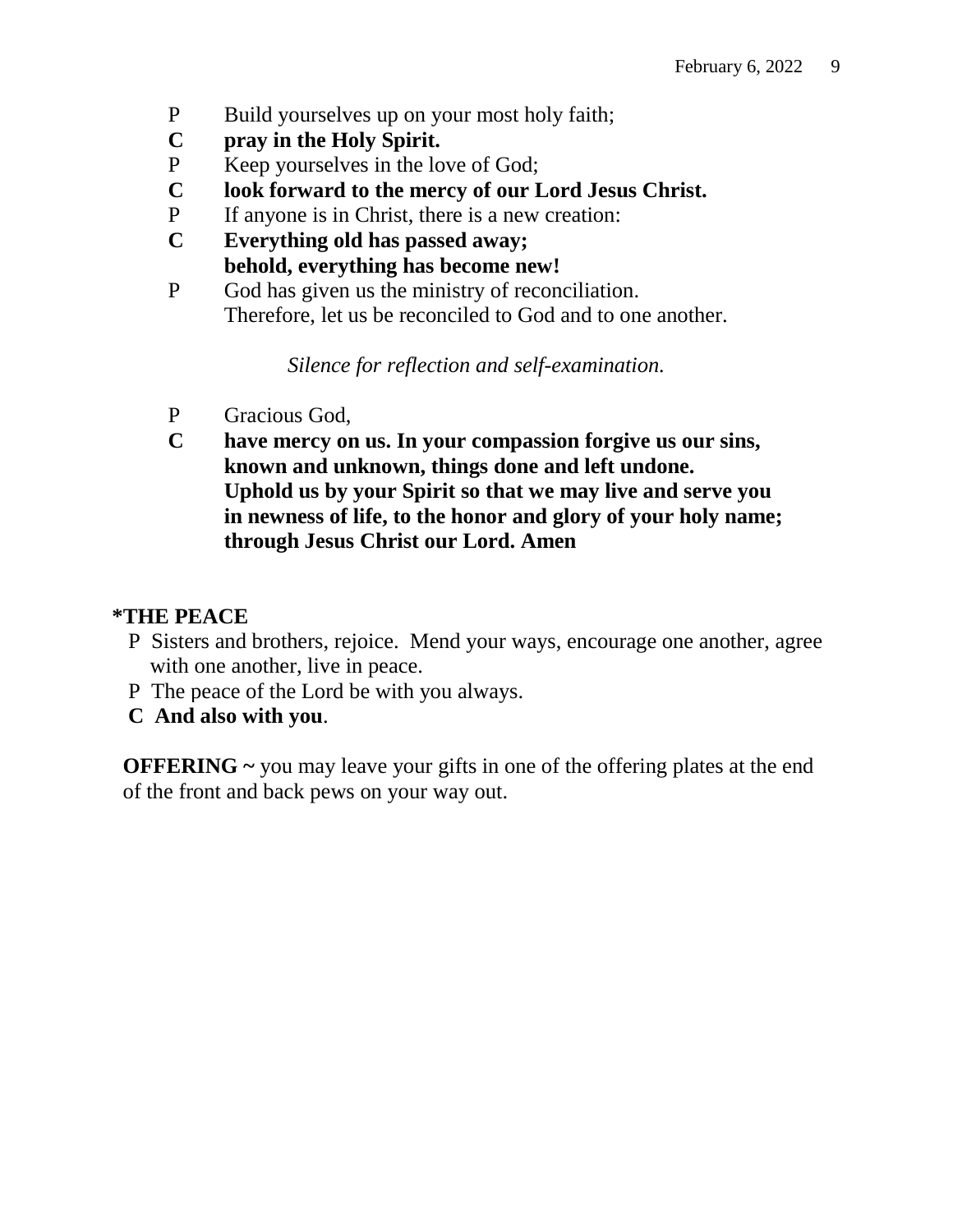- P Build yourselves up on your most holy faith;
- **C pray in the Holy Spirit.**
- P Keep yourselves in the love of God;
- **C look forward to the mercy of our Lord Jesus Christ.**
- P If anyone is in Christ, there is a new creation:
- **C Everything old has passed away; behold, everything has become new!**
- P God has given us the ministry of reconciliation. Therefore, let us be reconciled to God and to one another.

### *Silence for reflection and self-examination.*

- P Gracious God,
- **C have mercy on us. In your compassion forgive us our sins, known and unknown, things done and left undone. Uphold us by your Spirit so that we may live and serve you in newness of life, to the honor and glory of your holy name; through Jesus Christ our Lord. Amen**

### **\*THE PEACE**

- P Sisters and brothers, rejoice. Mend your ways, encourage one another, agree with one another, live in peace.
- P The peace of the Lord be with you always.
- **C And also with you**.

**OFFERING** ~ you may leave your gifts in one of the offering plates at the end of the front and back pews on your way out.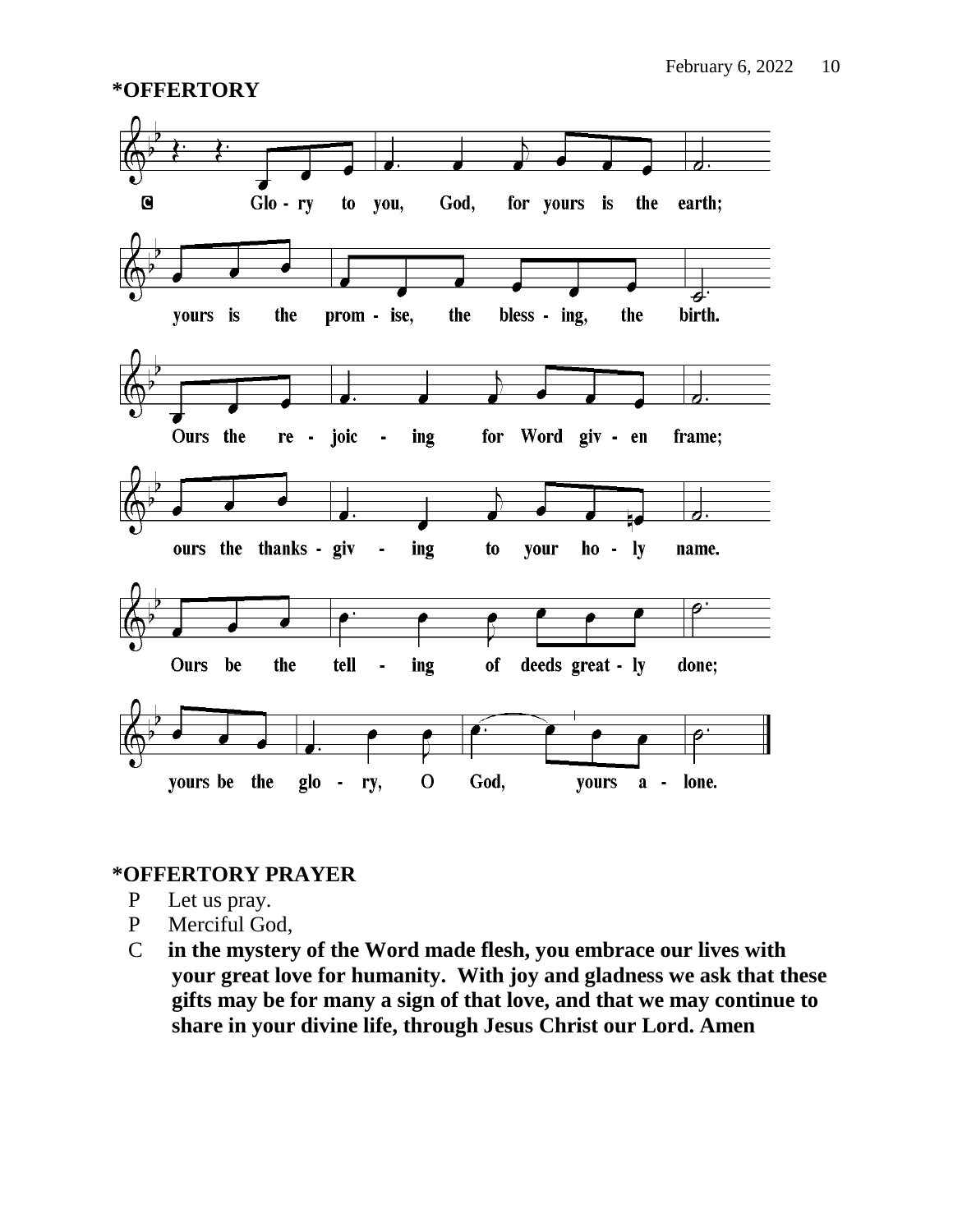#### **\*OFFERTORY**



### **\*OFFERTORY PRAYER**

- P Let us pray.
- P Merciful God,
- C **in the mystery of the Word made flesh, you embrace our lives with your great love for humanity. With joy and gladness we ask that these gifts may be for many a sign of that love, and that we may continue to share in your divine life, through Jesus Christ our Lord. Amen**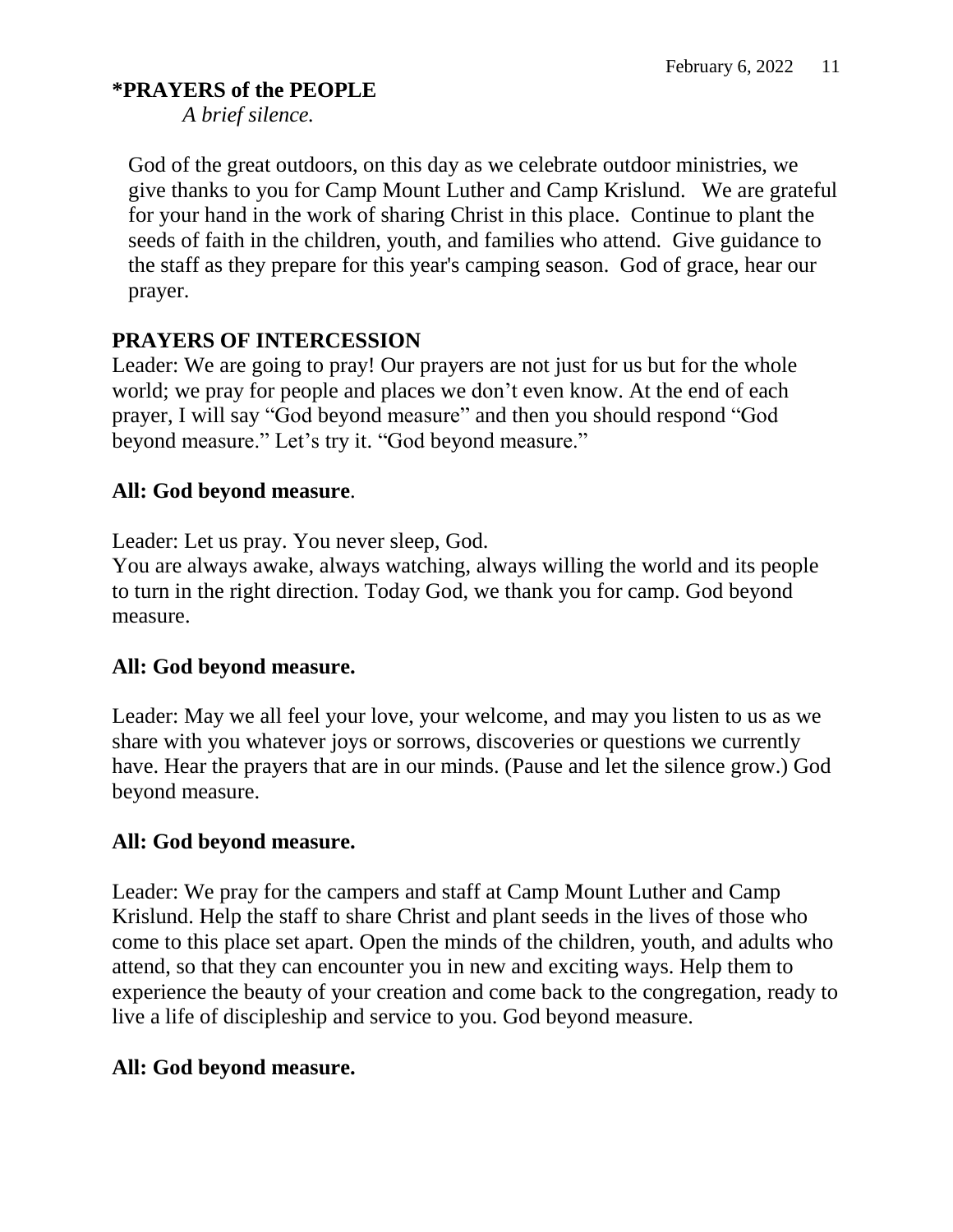#### **\*PRAYERS of the PEOPLE**

*A brief silence.*

 God of the great outdoors, on this day as we celebrate outdoor ministries, we give thanks to you for Camp Mount Luther and Camp Krislund. We are grateful for your hand in the work of sharing Christ in this place. Continue to plant the seeds of faith in the children, youth, and families who attend. Give guidance to the staff as they prepare for this year's camping season. God of grace, hear our prayer.

## **PRAYERS OF INTERCESSION**

Leader: We are going to pray! Our prayers are not just for us but for the whole world; we pray for people and places we don't even know. At the end of each prayer, I will say "God beyond measure" and then you should respond "God beyond measure." Let's try it. "God beyond measure."

#### **All: God beyond measure**.

Leader: Let us pray. You never sleep, God.

You are always awake, always watching, always willing the world and its people to turn in the right direction. Today God, we thank you for camp. God beyond measure.

#### **All: God beyond measure.**

Leader: May we all feel your love, your welcome, and may you listen to us as we share with you whatever joys or sorrows, discoveries or questions we currently have. Hear the prayers that are in our minds. (Pause and let the silence grow.) God beyond measure.

#### **All: God beyond measure.**

Leader: We pray for the campers and staff at Camp Mount Luther and Camp Krislund. Help the staff to share Christ and plant seeds in the lives of those who come to this place set apart. Open the minds of the children, youth, and adults who attend, so that they can encounter you in new and exciting ways. Help them to experience the beauty of your creation and come back to the congregation, ready to live a life of discipleship and service to you. God beyond measure.

#### **All: God beyond measure.**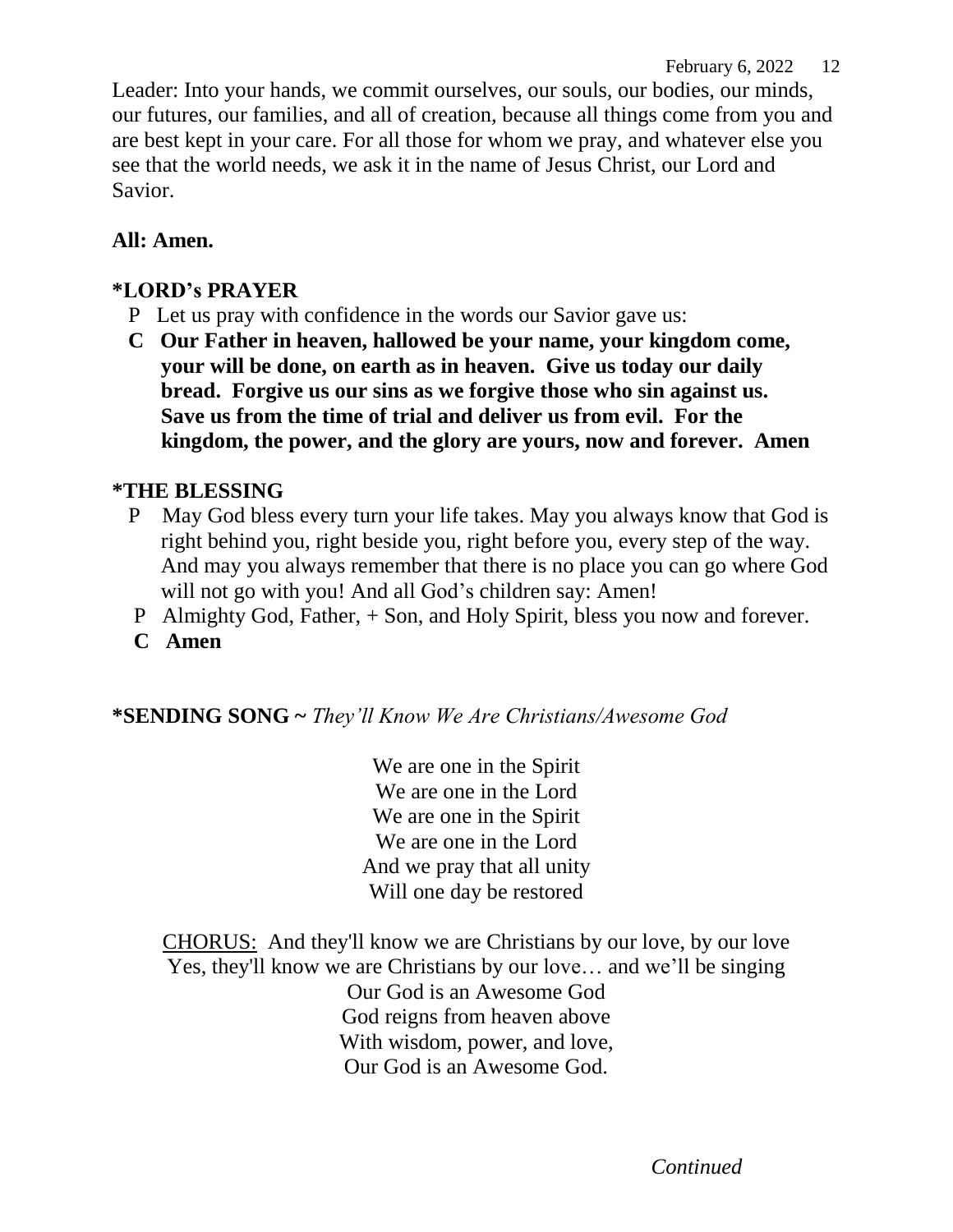Leader: Into your hands, we commit ourselves, our souls, our bodies, our minds, our futures, our families, and all of creation, because all things come from you and are best kept in your care. For all those for whom we pray, and whatever else you see that the world needs, we ask it in the name of Jesus Christ, our Lord and Savior.

### **All: Amen.**

#### **\*LORD's PRAYER**

- P Let us pray with confidence in the words our Savior gave us:
- **C Our Father in heaven, hallowed be your name, your kingdom come, your will be done, on earth as in heaven. Give us today our daily bread. Forgive us our sins as we forgive those who sin against us. Save us from the time of trial and deliver us from evil. For the kingdom, the power, and the glory are yours, now and forever. Amen**

#### **\*THE BLESSING**

- P May God bless every turn your life takes. May you always know that God is right behind you, right beside you, right before you, every step of the way. And may you always remember that there is no place you can go where God will not go with you! And all God's children say: Amen!
- P Almighty God, Father, + Son, and Holy Spirit, bless you now and forever.
- **C Amen**

**\*SENDING SONG ~** *They'll Know We Are Christians/Awesome God*

We are one in the Spirit We are one in the Lord We are one in the Spirit We are one in the Lord And we pray that all unity Will one day be restored

CHORUS: And they'll know we are Christians by our love, by our love Yes, they'll know we are Christians by our love… and we'll be singing Our God is an Awesome God God reigns from heaven above With wisdom, power, and love, Our God is an Awesome God.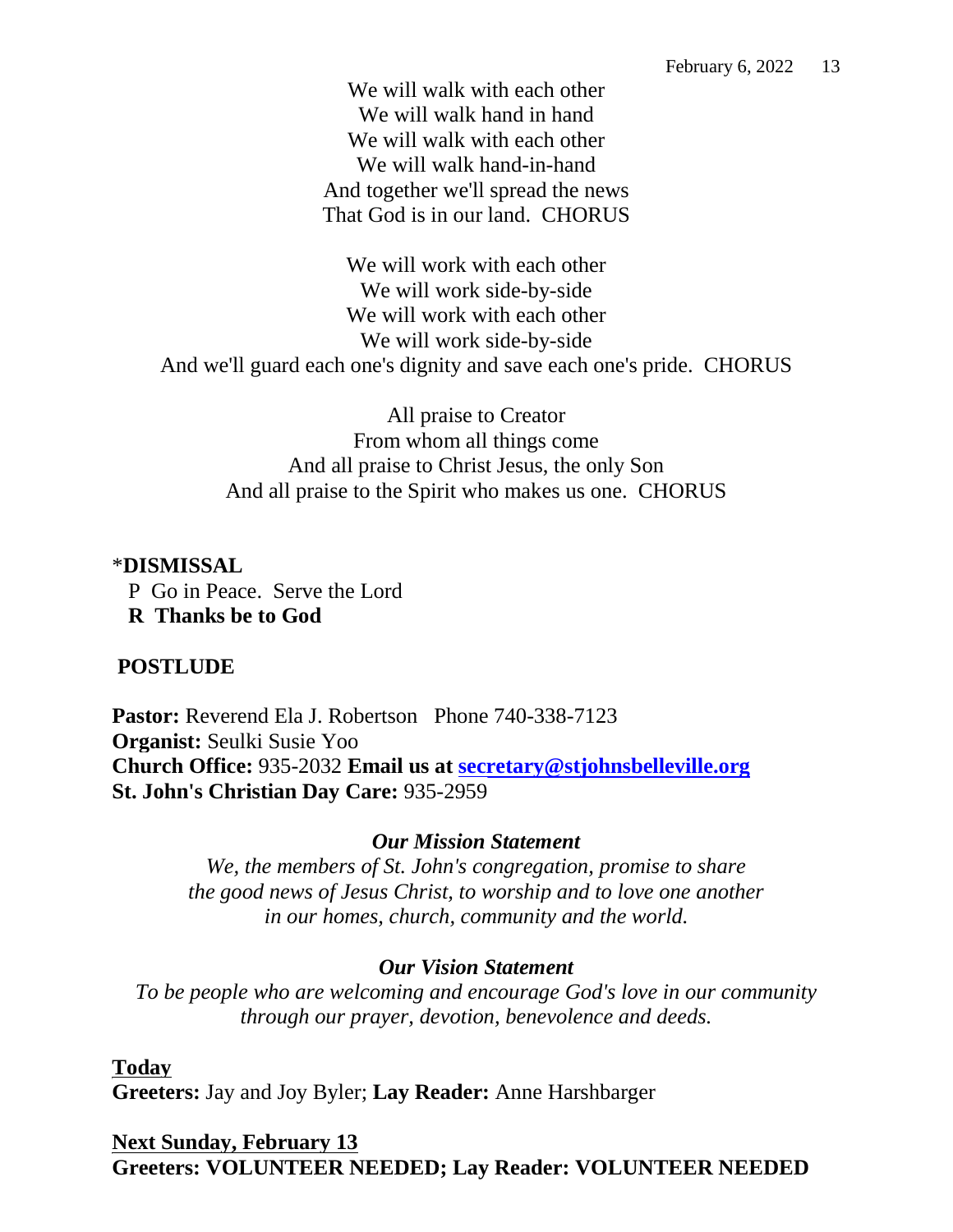We will walk with each other We will walk hand in hand We will walk with each other We will walk hand-in-hand And together we'll spread the news That God is in our land. CHORUS

We will work with each other We will work side-by-side We will work with each other We will work side-by-side And we'll guard each one's dignity and save each one's pride. CHORUS

> All praise to Creator From whom all things come And all praise to Christ Jesus, the only Son And all praise to the Spirit who makes us one. CHORUS

### \***DISMISSAL**

P Go in Peace. Serve the Lord **R Thanks be to God**

# **POSTLUDE**

**Pastor:** Reverend Ela J. Robertson Phone 740-338-7123 **Organist:** Seulki Susie Yoo **Church Office:** 935-2032 **Email us at [secretary@stjohnsbelleville.org](mailto:secretary@stjohnsbelleville.org)  St. John's Christian Day Care:** 935-2959

## *Our Mission Statement*

*We, the members of St. John's congregation, promise to share the good news of Jesus Christ, to worship and to love one another in our homes, church, community and the world.*

## *Our Vision Statement*

*To be people who are welcoming and encourage God's love in our community through our prayer, devotion, benevolence and deeds.*

**Today Greeters:** Jay and Joy Byler; **Lay Reader:** Anne Harshbarger

**Next Sunday, February 13 Greeters: VOLUNTEER NEEDED; Lay Reader: VOLUNTEER NEEDED**